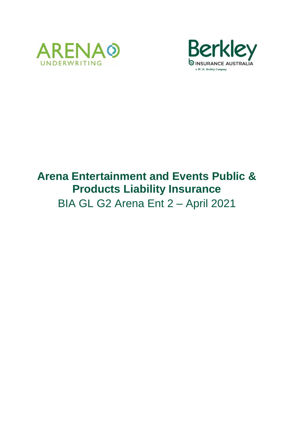



# **Arena Entertainment and Events Public & Products Liability Insurance** BIA GL G2 Arena Ent 2 – April 2021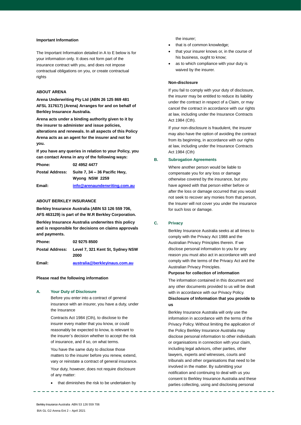#### **Important Information**

The Important Information detailed in A to E below is for your information only. It does not form part of the insurance contract with you, and does not impose contractual obligations on you, or create contractual rights

### **ABOUT ARENA**

**Arena Underwriting Pty Ltd (ABN 26 125 869 481 AFSL 317617) (Arena) Arranges for and on behalf of Berkley Insurance Australia.**

**Arena acts under a binding authority given to it by the insurer to administer and issue policies, alterations and renewals. In all aspects of this Policy Arena acts as an agent for the insurer and not for you.**

**If you have any queries in relation to your Policy, you can contact Arena in any of the following ways:**

| <b>Phone:</b>   | 02 4952 4477                                    |
|-----------------|-------------------------------------------------|
| Postal Address: | Suite 7, 34 – 36 Pacific Hwy,<br>Wyong NSW 2259 |
| Email:          | info@arenaunderwriting.com.au                   |

# **ABOUT BERKLEY INSURANCE**

**Berkley Insurance Australia (ABN 53 126 559 706, AFS 463129) is part of the W.R Berkley Corporation.** 

**Berkley Insurance Australia underwrites this policy and is responsible for decisions on claims approvals and payments.** 

| Phone: | 02 9275 8500                                             |
|--------|----------------------------------------------------------|
|        | Postal Address: Level 7, 321 Kent St, Sydney NSW<br>2000 |
|        |                                                          |

**Email: [australia@berkleyinaus.com.au](mailto:australia@berkleyinaus.com.au)**

# **Please read the following information**

# **A. Your Duty of Disclosure**

Before you enter into a contract of general insurance with an insurer, you have a duty, under the Insurance

Contracts Act 1984 (Cth), to disclose to the insurer every matter that you know, or could reasonably be expected to know, is relevant to the insurer's decision whether to accept the risk of insurance, and if so, on what terms.

You have the same duty to disclose those matters to the insurer before you renew, extend, vary or reinstate a contract of general insurance. Your duty, however, does not require disclosure of any matter:

• that diminishes the risk to be undertaken by

the insurer;

- that is of common knowledge;
- that your insurer knows or, in the course of his business, ought to know;
- as to which compliance with your duty is waived by the insurer.

#### **Non-disclosure**

If you fail to comply with your duty of disclosure, the insurer may be entitled to reduce its liability under the contract in respect of a Claim, or may cancel the contract in accordance with our rights at law, including under the Insurance Contracts Act 1984 (Cth).

If your non-disclosure is fraudulent, the insurer may also have the option of avoiding the contract from its beginning, in accordance with our rights at law, including under the Insurance Contracts Act 1984 (Cth)

#### **B. Subrogation Agreements**

Where another person would be liable to compensate you for any loss or damage otherwise covered by the insurance, but you have agreed with that person either before or after the loss or damage occurred that you would not seek to recover any monies from that person, the Insurer will not cover you under the insurance for such loss or damage.

# **C. Privacy**

Berkley Insurance Australia seeks at all times to comply with the Privacy Act 1988 and the Australian Privacy Principles therein. If we disclose personal information to you for any reason you must also act in accordance with and comply with the terms of the Privacy Act and the Australian Privacy Principles.

#### **Purpose for collection of information**

The information contained in this document and any other documents provided to us will be dealt with in accordance with our Privacy Policy. **Disclosure of Information that you provide to us**

Berkley Insurance Australia will only use the information in accordance with the terms of the Privacy Policy. Without limiting the application of the Policy Berkley Insurance Australia may disclose personal information to other individuals or organisations in connection with your claim, including legal advisors, other parties, other lawyers, experts and witnesses, courts and tribunals and other organisations that need to be involved in the matter. By submitting your notification and continuing to deal with us you consent to Berkley Insurance Australia and these parties collecting, using and disclosing personal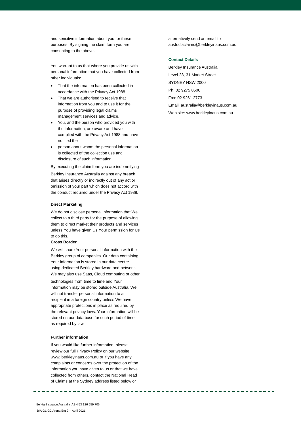and sensitive information about you for these purposes. By signing the claim form you are consenting to the above.

You warrant to us that where you provide us with personal information that you have collected from other individuals:

- That the information has been collected in accordance with the Privacy Act 1988.
- That we are authorised to receive that information from you and to use it for the purpose of providing legal claims management services and advice.
- You, and the person who provided you with the information, are aware and have complied with the Privacy Act 1988 and have notified the
- person about whom the personal information is collected of the collection use and disclosure of such information.

By executing the claim form you are indemnifying

Berkley Insurance Australia against any breach that arises directly or indirectly out of any act or omission of your part which does not accord with the conduct required under the Privacy Act 1988.

#### **Direct Marketing**

We do not disclose personal information that We collect to a third party for the purpose of allowing them to direct market their products and services unless You have given Us Your permission for Us to do this.

# **Cross Border**

We will share Your personal information with the Berkley group of companies. Our data containing Your information is stored in our data centre using dedicated Berkley hardware and network. We may also use Saas, Cloud computing or other

technologies from time to time and Your information may be stored outside Australia. We will not transfer personal information to a recipient in a foreign country unless We have appropriate protections in place as required by the relevant privacy laws. Your information will be stored on our data base for such period of time as required by law.

#### **Further information**

If you would like further information, pleas[e](http://www/)  [review our full Privacy Policy on our website](http://www/)  [www.](http://www/) berkleyinaus.com.au or if you have any complaints or concerns over the protection of the information you have given to us or that we have collected from others, contact the National Head of Claims at the Sydney address listed below or

alternatively send an [email to](mailto:australiaclaims@wrberkley.com)  [australiaclaims@berkleyinaus.com.a](mailto:australiaclaims@wrberkley.com)u.

# **Contact Details**

Berkley Insurance Australia Level 23, 31 Market Street SYDNEY NSW 2000 Ph: 02 9275 8500 Fax: 02 9261 2773 [Email: australia@berkleyinaus.com.](mailto:australia@wrberkley.com)au Web site[: www.berkleyinaus.com.au](http://www.wrbaustralia.com.au/)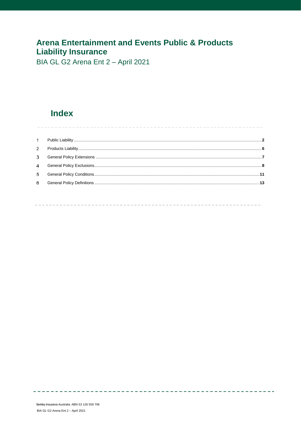# **Arena Entertainment and Events Public & Products Liability Insurance**

BIA GL G2 Arena Ent 2 - April 2021

# **Index**

| $\sim$         |  |
|----------------|--|
| 2              |  |
| 3              |  |
| $\overline{4}$ |  |
| 5              |  |
| 6              |  |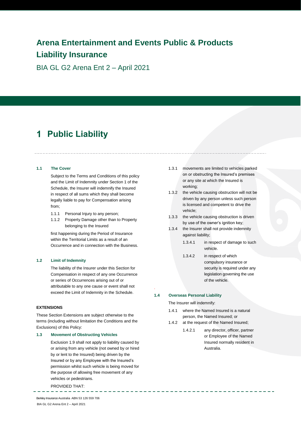# **Arena Entertainment and Events Public & Products Liability Insurance**

BIA GL G2 Arena Ent 2 – April 2021

# <span id="page-4-0"></span>**Public Liability**

# **1.1 The Cover**

Subject to the Terms and Conditions of this policy and the Limit of Indemnity under Section 1 of the Schedule, the Insurer will indemnify the Insured in respect of all sums which they shall become legally liable to pay for Compensation arising from;

- 1.1.1 Personal Injury to any person;
- 1.1.2 Property Damage other than to Property belonging to the Insured

first happening during the Period of Insurance within the Territorial Limits as a result of an Occurrence and in connection with the Business.

#### **1.2 Limit of Indemnity**

The liability of the Insurer under this Section for Compensation in respect of any one Occurrence or series of Occurrences arising out of or attributable to any one cause or event shall not exceed the Limit of Indemnity in the Schedule.

# **EXTENSIONS**

These Section Extensions are subject otherwise to the terms (including without limitation the Conditions and the Exclusions) of this Policy:

#### **1.3 Movement of Obstructing Vehicles**

Exclusion 1.9 shall not apply to liability caused by or arising from any vehicle (not owned by or hired by or lent to the Insured) being driven by the Insured or by any Employee with the Insured's permission whilst such vehicle is being moved for the purpose of allowing free movement of any vehicles or pedestrians.

PROVIDED THAT:

1.3.1 movements are limited to vehicles parked on or obstructing the Insured's premises or any site at which the Insured is working;

1.3.2 the vehicle causing obstruction will not be driven by any person unless such person is licensed and competent to drive the vehicle;

- 1.3.3 the vehicle causing obstruction is driven by use of the owner's ignition key;
- 1.3.4 the Insurer shall not provide indemnity against liability;
	- 1.3.4.1 in respect of damage to such vehicle.
	- 1.3.4.2 in respect of which compulsory insurance or security is required under any legislation governing the use of the vehicle.

# **1.4 Overseas Personal Liability**

.

The Insurer will indemnify:

- 1.4.1 where the Named Insured is a natural person, the Named Insured; or
- 1.4.2 at the request of the Named Insured;
	- 1.4.2.1 any director, officer, partner or Employee of the Named Insured normally resident in Australia.

Berkley Insurance Australia ABN 53 126 559 706 **2** BIA GL G2 Arena Ent 2 – April 2021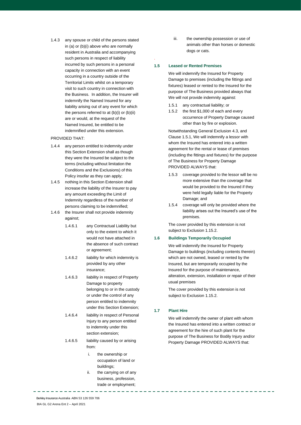1.4.3 any spouse or child of the persons stated in (a) or (b)(i) above who are normally resident in Australia and accompanying such persons in respect of liability incurred by such persons in a personal capacity in connection with an event occurring in a country outside of the Territorial Limits whilst on a temporary visit to such country in connection with the Business. In addition, the Insurer will indemnify the Named Insured for any liability arising out of any event for which the persons referred to at (b)(i) or (b)(ii) are or would, at the request of the Named Insured, be entitled to be indemnified under this extension.

# PROVIDED THAT:

- 1.4.4 any person entitled to indemnity under this Section Extension shall as though they were the Insured be subject to the terms (including without limitation the Conditions and the Exclusions) of this Policy insofar as they can apply;
- 1.4.5 nothing in this Section Extension shall increase the liability of the Insurer to pay any amount exceeding the Limit of Indemnity regardless of the number of persons claiming to be indemnified;
- 1.4.6 the Insurer shall not provide indemnity against;
	- 1.4.6.1 any Contractual Liability but only to the extent to which it would not have attached in the absence of such contract or agreement;
	- 1.4.6.2 liability for which indemnity is provided by any other insurance;
	- 1.4.6.3 liability in respect of Property Damage to property belonging to or in the custody or under the control of any person entitled to indemnity under this Section Extension;
	- 1.4.6.4 liability in respect of Personal Injury to any person entitled to indemnity under this section extension;
	- 1.4.6.5 liability caused by or arising from:
		- i. the ownership or occupation of land or buildings;
		- ii. the carrying on of any business, profession, trade or employment;

iii. the ownership possession or use of animals other than horses or domestic dogs or cats.

# **1.5 Leased or Rented Premises**

.

We will indemnify the Insured for Property Damage to premises (including the fittings and fixtures) leased or rented to the Insured for the purpose of The Business provided always that We will not provide indemnity against:

- 1.5.1 any contractual liability; or
- 1.5.2 the first \$1,000 of each and every occurrence of Property Damage caused other than by fire or explosion.

Notwithstanding General Exclusion 4.3, and Clause 1.5.1, We will indemnify a lessor with whom the Insured has entered into a written agreement for the rental or lease of premises (including the fittings and fixtures) for the purpose of The Business for Property Damage PROVIDED ALWAYS that:

- 1.5.3 coverage provided to the lessor will be no more extensive than the coverage that would be provided to the Insured if they were held legally liable for the Property Damage; and
- 1.5.4 coverage will only be provided where the liability arises out the Insured's use of the premises.

The cover provided by this extension is not subject to Exclusion 1.15.2.

#### **1.6 Buildings Temporarily Occupied**

We will indemnify the Insured for Property Damage to buildings (including contents therein) which are not owned, leased or rented by the Insured, but are temporarily occupied by the Insured for the purpose of maintenance, alteration, extension, installation or repair of their usual premises

The cover provided by this extension is not subject to Exclusion 1.15.2.

# **1.7 Plant Hire**

We will indemnify the owner of plant with whom the Insured has entered into a written contract or agreement for the hire of such plant for the purpose of The Business for Bodily Injury and/or Property Damage PROVIDED ALWAYS that: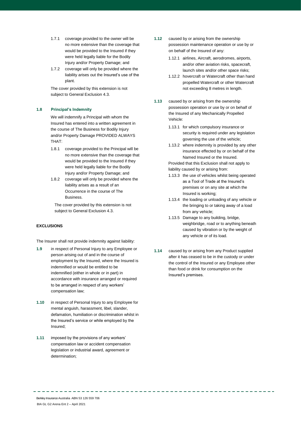- 1.7.1 coverage provided to the owner will be no more extensive than the coverage that would be provided to the Insured if they were held legally liable for the Bodily Injury and/or Property Damage; and
- 1.7.2 coverage will only be provided where the liability arises out the Insured's use of the plant.

The cover provided by this extension is not subject to General Exclusion 4.3.

# **1.8 Principal's Indemnity**

We will indemnify a Principal with whom the Insured has entered into a written agreement in the course of The Business for Bodily Injury and/or Property Damage PROVIDED ALWAYS THAT:

- 1.8.1 coverage provided to the Principal will be no more extensive than the coverage that would be provided to the Insured if they were held legally liable for the Bodily Injury and/or Property Damage; and
- 1.8.2 coverage will only be provided where the liability arises as a result of an Occurrence in the course of The Business.

The cover provided by this extension is not subject to General Exclusion 4.3.

# **EXCLUSIONS**

The Insurer shall not provide indemnity against liability:

- **1.9** in respect of Personal Injury to any Employee or person arising out of and in the course of employment by the Insured, where the Insured is indemnified or would be entitled to be indemnified (either in whole or in part) in accordance with insurance arranged or required to be arranged in respect of any workers' compensation law;
- **1.10** in respect of Personal Injury to any Employee for mental anguish, harassment, libel, slander, defamation, humiliation or discrimination whilst in the Insured's service or while employed by the Insured;
- **1.11** imposed by the provisions of any workers' compensation law or accident compensation legislation or industrial award, agreement or determination;
- **1.12** caused by or arising from the ownership possession maintenance operation or use by or on behalf of the Insured of any:
	- 1.12.1 airlines, Aircraft, aerodromes, airports, and/or other aviation risks, spacecraft, launch sites and/or other space risks;
	- 1.12.2 hovercraft or Watercraft other than hand propelled Watercraft or other Watercraft not exceeding 8 metres in length.
- **1.13** caused by or arising from the ownership possession operation or use by or on behalf of the Insured of any Mechanically Propelled Vehicle:
	- 1.13.1 for which compulsory insurance or security is required under any legislation governing the use of the vehicle;
	- 1.13.2 where indemnity is provided by any other insurance effected by or on behalf of the Named Insured or the Insured.

Provided that this Exclusion shall not apply to liability caused by or arising from:

- 1.13.3 the use of vehicles whilst being operated as a Tool of Trade at the Insured's premises or on any site at which the Insured is working;
- 1.13.4 the loading or unloading of any vehicle or the bringing to or taking away of a load from any vehicle;
- 1.13.5 Damage to any building, bridge, weighbridge, road or to anything beneath caused by vibration or by the weight of any vehicle or of its load.
- **1.14** caused by or arising from any Product supplied after it has ceased to be in the custody or under the control of the Insured or any Employee other than food or drink for consumption on the Insured's premises.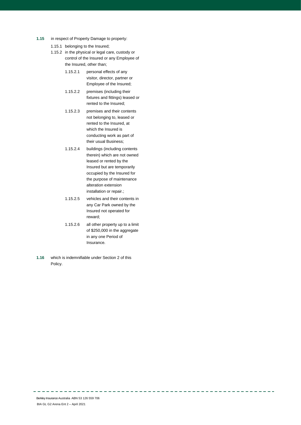- **1.15** in respect of Property Damage to property:
	- 1.15.1 belonging to the Insured;
	- 1.15.2 in the physical or legal care, custody or control of the Insured or any Employee of the Insured, other than;
		- 1.15.2.1 personal effects of any visitor, director, partner or Employee of the Insured;
		- 1.15.2.2 premises (including their fixtures and fittings) leased or rented to the Insured;
		- 1.15.2.3 premises and their contents not belonging to, leased or rented to the Insured, at which the Insured is conducting work as part of their usual Business;
		- 1.15.2.4 buildings (including contents therein) which are not owned leased or rented by the Insured but are temporarily occupied by the Insured for the purpose of maintenance alteration extension installation or repair.;
		- 1.15.2.5 vehicles and their contents in any Car Park owned by the Insured not operated for reward;
		- 1.15.2.6 all other property up to a limit of \$250,000 in the aggregate in any one Period of Insurance.
- **1.16** which is indemnifiable under Section 2 of this Policy.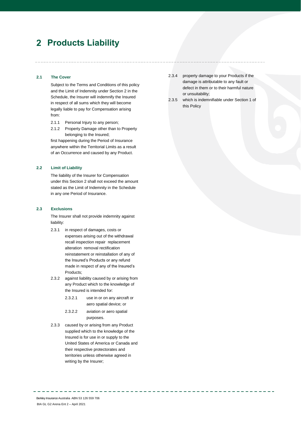# <span id="page-8-0"></span>**Products Liability**

# **2.1 The Cover**

Subject to the Terms and Conditions of this policy and the Limit of Indemnity under Section 2 in the Schedule, the Insurer will indemnify the Insured in respect of all sums which they will become legally liable to pay for Compensation arising from:

- 2.1.1 Personal Injury to any person;
- 2.1.2 Property Damage other than to Property belonging to the Insured;

first happening during the Period of Insurance anywhere within the Territorial Limits as a result of an Occurrence and caused by any Product.

# **2.2 Limit of Liability**

The liability of the Insurer for Compensation under this Section 2 shall not exceed the amount stated as the Limit of Indemnity in the Schedule in any one Period of Insurance.

# **2.3 Exclusions**

The Insurer shall not provide indemnity against liability:

- 2.3.1 in respect of damages, costs or expenses arising out of the withdrawal recall inspection repair replacement alteration removal rectification reinstatement or reinstallation of any of the Insured's Products or any refund made in respect of any of the Insured's Products;
- 2.3.2 against liability caused by or arising from any Product which to the knowledge of the Insured is intended for:
	- 2.3.2.1 use in or on any aircraft or aero spatial device; or
	- 2.3.2.2 aviation or aero spatial purposes.
- 2.3.3 caused by or arising from any Product supplied which to the knowledge of the Insured is for use in or supply to the United States of America or Canada and their respective protectorates and territories unless otherwise agreed in writing by the Insurer;
- 2.3.4 property damage to your Products if the damage is attributable to any fault or defect in them or to their harmful nature or unsuitability;
- 2.3.5 which is indemnifiable under Section 1 of this Policy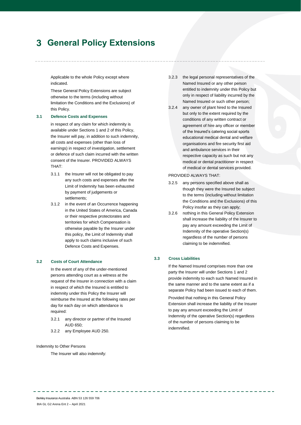# <span id="page-9-0"></span>**General Policy Extensions**

Applicable to the whole Policy except where indicated.

These General Policy Extensions are subject otherwise to the terms (including without limitation the Conditions and the Exclusions) of this Policy.

### **3.1 Defence Costs and Expenses**

in respect of any claim for which indemnity is available under Sections 1 and 2 of this Policy, the Insurer will pay, in addition to such indemnity, all costs and expenses (other than loss of earnings) in respect of investigation, settlement or defence of such claim incurred with the written consent of the Insurer. PROVIDED ALWAYS THAT:

- 3.1.1 the Insurer will not be obligated to pay any such costs and expenses after the Limit of Indemnity has been exhausted by payment of judgements or settlements;
- 3.1.2 in the event of an Occurrence happening in the United States of America, Canada or their respective protectorates and territories for which Compensation is otherwise payable by the Insurer under this policy, the Limit of Indemnity shall apply to such claims inclusive of such Defence Costs and Expenses.

# **3.2 Costs of Court Attendance**

In the event of any of the under-mentioned persons attending court as a witness at the request of the Insurer in connection with a claim in respect of which the Insured is entitled to indemnity under this Policy the Insurer will reimburse the Insured at the following rates per day for each day on which attendance is required:

- 3.2.1 any director or partner of the Insured  $AUD$  650 $\cdot$
- 3.2.2 any Employee AUD 250.

### Indemnity to Other Persons

The Insurer will also indemnify:

- 3.2.3 the legal personal representatives of the Named Insured or any other person entitled to indemnity under this Policy but only in respect of liability incurred by the Named Insured or such other person;
- 3.2.4 any owner of plant hired to the Insured but only to the extent required by the conditions of any written contract or agreement of hire any officer or member of the Insured's catering social sports educational medical dental and welfare organisations and fire security first aid and ambulance services in their respective capacity as such but not any medical or dental practitioner in respect of medical or dental services provided.

#### PROVIDED ALWAYS THAT:

- 3.2.5 any persons specified above shall as though they were the Insured be subject to the terms (including without limitation the Conditions and the Exclusions) of this Policy insofar as they can apply;
- 3.2.6 nothing in this General Policy Extension shall increase the liability of the Insurer to pay any amount exceeding the Limit of Indemnity of the operative Section(s) regardless of the number of persons claiming to be indemnified.

### **3.3 Cross Liabilities**

If the Named Insured comprises more than one party the Insurer will under Sections 1 and 2 provide indemnity to each such Named Insured in the same manner and to the same extent as if a separate Policy had been issued to each of them.

Provided that nothing in this General Policy Extension shall increase the liability of the Insurer to pay any amount exceeding the Limit of Indemnity of the operative Section(s) regardless of the number of persons claiming to be indemnified.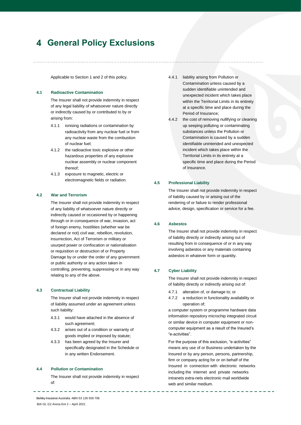# <span id="page-10-0"></span>**General Policy Exclusions**

Applicable to Section 1 and 2 of this policy.

# **4.1 Radioactive Contamination**

The Insurer shall not provide indemnity in respect of any legal liability of whatsoever nature directly or indirectly caused by or contributed to by or arising from:

- 4.1.1 ionising radiations or contamination by radioactivity from any nuclear fuel or from any nuclear waste from the combustion of nuclear fuel;
- 4.1.2 the radioactive toxic explosive or other hazardous properties of any explosive nuclear assembly or nuclear component thereof;
- 4.1.3 exposure to magnetic, electric or electromagnetic fields or radiation.

#### **4.2 War and Terrorism**

The Insurer shall not provide indemnity in respect of any liability of whatsoever nature directly or indirectly caused or occasioned by or happening through or in consequence of war, invasion, act of foreign enemy, hostilities (whether war be declared or not) civil war, rebellion, revolution, insurrection, Act of Terrorism or military or usurped power or confiscation or nationalisation or requisition or destruction of or Property Damage by or under the order of any government or public authority or any action taken in controlling, preventing, suppressing or in any way relating to any of the above.

#### **4.3 Contractual Liability**

The Insurer shall not provide indemnity in respect of liability assumed under an agreement unless such liability:

- 4.3.1 would have attached in the absence of such agreement;
- 4.3.2 arises out of a condition or warranty of goods implied or imposed by statute;
- 4.3.3 has been agreed by the Insurer and specifically designated in the Schedule or in any written Endorsement.

#### **4.4 Pollution or Contamination**

The Insurer shall not provide indemnity in respect of:

- 4.4.1 liability arising from Pollution or Contamination unless caused by a sudden identifiable unintended and unexpected incident which takes place within the Territorial Limits in its entirety at a specific time and place during the Period of Insurance;
- 4.4.2 the cost of removing nullifying or cleaning up seeping polluting or contaminating substances unless the Pollution or Contamination is caused by a sudden identifiable unintended and unexpected incident which takes place within the Territorial Limits in its entirety at a specific time and place during the Period of Insurance.

# **4.5 Professional Liability**

The Insurer shall not provide indemnity in respect of liability caused by or arising out of the rendering of or failure to render professional advice, design, specification or service for a fee.

#### **4.6 Asbestos**

The Insurer shall not provide indemnity in respect of liability directly or indirectly arising out of resulting from in consequence of or in any way involving asbestos or any materials containing asbestos in whatever form or quantity.

# **4.7 Cyber Liability**

The Insurer shall not provide indemnity in respect of liability directly or indirectly arising out of:

- 4.7.1 alteration of, or damage to; or
- 4.7.2 a reduction in functionality availability or operation of;

a computer system or programme hardware data information repository microchip integrated circuit or similar device in computer equipment or noncomputer equipment as a result of the Insured's "e-activities".

For the purpose of this exclusion, "e-activities" means any use of or Business undertaken by the Insured or by any person, persons, partnership, firm or company acting for or on behalf of the Insured in connection with electronic networks including the internet and private networks intranets extra-nets electronic mail worldwide web and similar medium.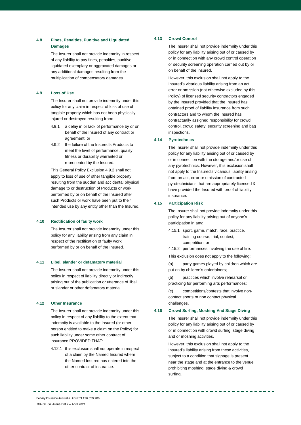# **4.8 Fines, Penalties, Punitive and Liquidated Damages**

The Insurer shall not provide indemnity in respect of any liability to pay fines, penalties, punitive, liquidated exemplary or aggravated damages or any additional damages resulting from the multiplication of compensatory damages.

# **4.9 Loss of Use**

The Insurer shall not provide indemnity under this policy for any claim in respect of loss of use of tangible property which has not been physically injured or destroyed resulting from:

- 4.9.1 a delay in or lack of performance by or on behalf of the Insured of any contract or agreement; or
- 4.9.2 the failure of the Insured's Products to meet the level of performance, quality, fitness or durability warranted or represented by the Insured.

This General Policy Exclusion 4.9.2 shall not apply to loss of use of other tangible property resulting from the sudden and accidental physical damage to or destruction of Products or work performed by or on behalf of the Insured after such Products or work have been put to their intended use by any entity other than the Insured.

# **4.10 Rectification of faulty work**

The Insurer shall not provide indemnity under this policy for any liability arising from any claim in respect of the rectification of faulty work performed by or on behalf of the Insured.

# **4.11 Libel, slander or defamatory material**

The Insurer shall not provide indemnity under this policy in respect of liability directly or indirectly arising out of the publication or utterance of libel or slander or other defamatory material.

# **4.12 Other Insurance**

The Insurer shall not provide indemnity under this policy in respect of any liability to the extent that indemnity is available to the Insured (or other person entitled to make a claim on the Policy) for such liability under some other contract of insurance PROVIDED THAT:

4.12.1 this exclusion shall not operate in respect of a claim by the Named Insured where the Named Insured has entered into the other contract of insurance.

# **4.13 Crowd Control**

The Insurer shall not provide indemnity under this policy for any liability arising out of or caused by or in connection with any crowd control operation or security screening operation carried out by or on behalf of the Insured.

However, this exclusion shall not apply to the Insured's vicarious liability arising from an act, error or omission (not otherwise excluded by this Policy) of licensed security contractors engaged by the Insured provided that the Insured has obtained proof of liability insurance from such contractors and to whom the Insured has contractually assigned responsibility for crowd control, crowd safety, security screening and bag inspections.

# **4.14 Pyrotechnics**

The Insurer shall not provide indemnity under this policy for any liability arising out of or caused by or in connection with the storage and/or use of any pyrotechnics. However, this exclusion shall not apply to the Insured's vicarious liability arising from an act, error or omission of contracted pyrotechnicians that are appropriately licensed & have provided the Insured with proof of liability insurance.

# **4.15 Participation Risk**

The Insurer shall not provide indemnity under this policy for any liability arising out of anyone's participation in any:

- 4.15.1 sport, game, match, race, practice, training course, trial, contest, competition; or
- 4.15.2 performances involving the use of fire.
- This exclusion does not apply to the following:

(a) party games played by children which are put on by children's entertainers;

(b) practices which involve rehearsal or practicing for performing arts performances;

(c) competitions/contests that involve noncontact sports or non contact physical challenges.

# **4.16 Crowd Surfing, Moshing And Stage Diving**

The Insurer shall not provide indemnity under this policy for any liability arising out of or caused by or in connection with crowd surfing, stage diving and or moshing activities.

However, this exclusion shall not apply to the Insured's liability arising from these activities, subject to a condition that signage is present near the stage and at the entrance to the venue prohibiting moshing, stage diving & crowd surfing.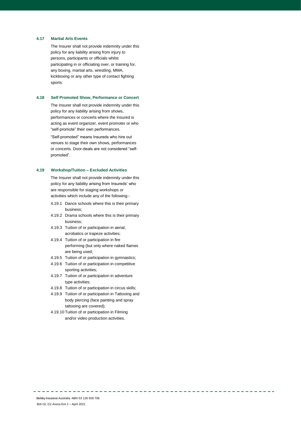# **4.17 Martial Arts Events**

The Insurer shall not provide indemnity under this policy for any liability arising from injury to persons, participants or officials whilst participating in or officiating over, or training for, any boxing, martial arts, wrestling, MMA, kickboxing or any other type of contact fighting sports.

#### **4.18 Self Promoted Show, Performance or Concert**

The Insurer shall not provide indemnity under this policy for any liability arising from shows, performances or concerts where the Insured is acting as event organizer, event promoter or who "self-promote" their own performances.

"Self-promoted" means Insureds who hire out venues to stage their own shows, performances or concerts. Door-deals are not considered "selfpromoted".

#### **4.19 Workshop/Tuition – Excluded Activities**

The Insurer shall not provide indemnity under this policy for any liability arising from Insureds' who are responsible for staging workshops or activities which include any of the following:-

- 4.19.1 Dance schools where this is their primary business;
- 4.19.2 Drama schools where this is their primary business;
- 4.19.3 Tuition of or participation in aerial, acrobatics or trapeze activities;
- 4.19.4 Tuition of or participation in fire performing (but only where naked flames are being used;
- 4.19.5 Tuition of or participation in gymnastics;
- 4.19.6 Tuition of or participation in competitive sporting activities;
- 4.19.7 Tuition of or participation in adventure type activities;
- 4.19.8 Tuition of or participation in circus skills;
- 4.19.9 Tuition of or participation in Tattooing and body piercing (face painting and spray tattooing are covered);
- 4.19.10 Tuition of or participation in Filming and/or video production activities.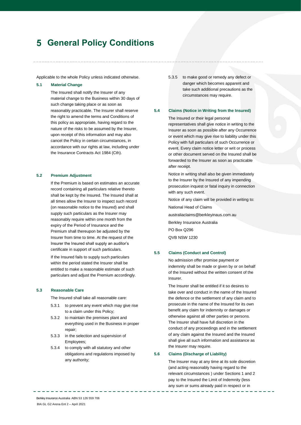# <span id="page-13-0"></span>**General Policy Conditions**

Applicable to the whole Policy unless indicated otherwise.

# **5.1 Material Change**

The Insured shall notify the Insurer of any material change to the Business within 30 days of such change taking place or as soon as reasonably practicable. The Insurer shall reserve the right to amend the terms and Conditions of this policy as appropriate, having regard to the nature of the risks to be assumed by the Insurer, upon receipt of this information and may also cancel the Policy in certain circumstances, in accordance with our rights at law, including under the Insurance Contracts Act 1984 (Cth).

# **5.2 Premium Adjustment**

If the Premium is based on estimates an accurate record containing all particulars relative thereto shall be kept by the Insured. The Insured shall at all times allow the Insurer to inspect such record (on reasonable notice to the Insured) and shall supply such particulars as the Insurer may reasonably require within one month from the expiry of the Period of Insurance and the Premium shall thereupon be adjusted by the Insurer from time to time. At the request of the Insurer the Insured shall supply an auditor's certificate in support of such particulars.

If the Insured fails to supply such particulars within the period stated the Insurer shall be entitled to make a reasonable estimate of such particulars and adjust the Premium accordingly.

#### **5.3 Reasonable Care**

The Insured shall take all reasonable care:

- 5.3.1 to prevent any event which may give rise to a claim under this Policy;
- 5.3.2 to maintain the premises plant and everything used in the Business in proper repair;
- 5.3.3 in the selection and supervision of Employees;
- 5.3.4 to comply with all statutory and other obligations and regulations imposed by any authority;

5.3.5 to make good or remedy any defect or danger which becomes apparent and take such additional precautions as the circumstances may require.

#### **5.4 Claims (Notice in Writing from the Insured)**

The Insured or their legal personal representatives shall give notice in writing to the Insurer as soon as possible after any Occurrence or event which may give rise to liability under this Policy with full particulars of such Occurrence or event. Every claim notice letter or writ or process or other document served on the Insured shall be forwarded to the Insurer as soon as practicable after receipt.

Notice in writing shall also be given immediately to the Insurer by the Insured of any impending prosecution inquest or fatal inquiry in connection with any such event.

Notice of any claim will be provided in writing to:

National Head of Claims

australiaclaims@berkleyinaus.com.au

Berkley Insurance Australia

PO Box Q296

QVB NSW 1230

#### **5.5 Claims (Conduct and Control)**

No admission offer promise payment or indemnity shall be made or given by or on behalf of the Insured without the written consent of the Insurer.

The Insurer shall be entitled if it so desires to take over and conduct in the name of the Insured the defence or the settlement of any claim and to prosecute in the name of the Insured for its own benefit any claim for indemnity or damages or otherwise against all other parties or persons. The Insurer shall have full discretion in the conduct of any proceedings and in the settlement of any claim against the Insured and the Insured shall give all such information and assistance as the Insurer may require.

#### **5.6 Claims (Discharge of Liability)**

The Insurer may at any time at its sole discretion (and acting reasonably having regard to the relevant circumstances ) under Sections 1 and 2 pay to the Insured the Limit of Indemnity (less any sum or sums already paid in respect or in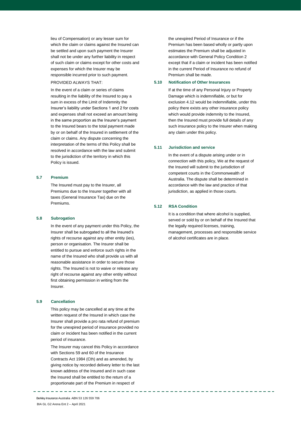lieu of Compensation) or any lesser sum for which the claim or claims against the Insured can be settled and upon such payment the Insurer shall not be under any further liability in respect of such claim or claims except for other costs and expenses for which the Insurer may be responsible incurred prior to such payment.

#### PROVIDED ALWAYS THAT:

In the event of a claim or series of claims resulting in the liability of the Insured to pay a sum in excess of the Limit of Indemnity the Insurer's liability under Sections 1 and 2 for costs and expenses shall not exceed an amount being in the same proportion as the Insurer's payment to the Insured bears to the total payment made by or on behalf of the Insured in settlement of the claim or claims. Any dispute concerning the interpretation of the terms of this Policy shall be resolved in accordance with the law and submit to the jurisdiction of the territory in which this Policy is issued.

# **5.7 Premium**

The Insured must pay to the Insurer, all Premiums due to the Insurer together with all taxes (General Insurance Tax) due on the Premiums.

#### **5.8 Subrogation**

In the event of any payment under this Policy, the Insurer shall be subrogated to all the Insured's rights of recourse against any other entity (ies), person or organisation. The Insurer shall be entitled to pursue and enforce such rights in the name of the Insured who shall provide us with all reasonable assistance in order to secure those rights. The Insured is not to waive or release any right of recourse against any other entity without first obtaining permission in writing from the Insurer.

### **5.9 Cancellation**

This policy may be cancelled at any time at the written request of the Insured in which case the Insurer shall provide a pro rata refund of premium for the unexpired period of insurance provided no claim or incident has been notified in the current period of insurance.

The Insurer may cancel this Policy in accordance with Sections 59 and 60 of the Insurance Contracts Act 1984 (Cth) and as amended, by giving notice by recorded delivery letter to the last known address of the Insured and in such case the Insured shall be entitled to the return of a proportionate part of the Premium in respect of

the unexpired Period of Insurance or if the Premium has been based wholly or partly upon estimates the Premium shall be adjusted in accordance with General Policy Condition 2 except that if a claim or incident has been notified in the current Period of Insurance no refund of Premium shall be made.

### **5.10 Notification of Other Insurances**

If at the time of any Personal Injury or Property Damage which is indemnifiable, or but for exclusion 4.12 would be indemnifiable, under this policy there exists any other insurance policy which would provide indemnity to the Insured, then the Insured must provide full details of any such insurance policy to the Insurer when making any claim under this policy.

#### **5.11 Jurisdiction and service**

In the event of a dispute arising under or in connection with this policy, We at the request of the Insured will submit to the jurisdiction of competent courts in the Commonwealth of Australia. The dispute shall be determined in accordance with the law and practice of that jurisdiction, as applied in those courts.

#### **5.12 RSA Condition**

It is a condition that where alcohol is supplied, served or sold by or on behalf of the Insured that the legally required licenses, training, management, processes and responsible service of alcohol certificates are in place.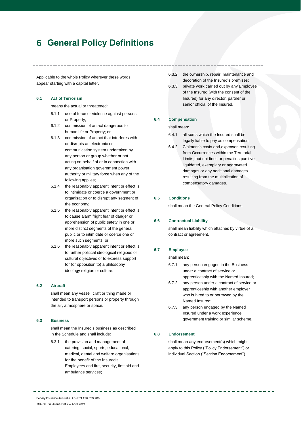# <span id="page-15-0"></span>**General Policy Definitions**

Applicable to the whole Policy wherever these words appear starting with a capital letter.

# **6.1 Act of Terrorism**

means the actual or threatened:

- 6.1.1 use of force or violence against persons or Property;
- 6.1.2 commission of an act dangerous to human life or Property; or
- 6.1.3 commission of an act that interferes with or disrupts an electronic or communication system undertaken by any person or group whether or not acting on behalf of or in connection with any organisation government power authority or military force when any of the following applies;
- 6.1.4 the reasonably apparent intent or effect is to intimidate or coerce a government or organisation or to disrupt any segment of the economy;
- 6.1.5 the reasonably apparent intent or effect is to cause alarm fright fear of danger or apprehension of public safety in one or more distinct segments of the general public or to intimidate or coerce one or more such segments; or
- 6.1.6 the reasonably apparent intent or effect is to further political ideological religious or cultural objectives or to express support for (or opposition to) a philosophy ideology religion or culture.

#### **6.2 Aircraft**

shall mean any vessel, craft or thing made or intended to transport persons or property through the air, atmosphere or space.

### **6.3 Business**

shall mean the Insured's business as described in the Schedule and shall include:

6.3.1 the provision and management of catering, social, sports, educational, medical, dental and welfare organisations for the benefit of the Insured's Employees and fire, security, first aid and ambulance services;

- 6.3.2 the ownership, repair, maintenance and decoration of the Insured's premises;
- 6.3.3 private work carried out by any Employee of the Insured (with the consent of the Insured) for any director, partner or senior official of the Insured.

#### **6.4 Compensation**

shall mean:

- 6.4.1 all sums which the Insured shall be legally liable to pay as compensation;
- 6.4.2 Claimant's costs and expenses resulting from Occurrences within the Territorial Limits; but not fines or penalties punitive, liquidated, exemplary or aggravated damages or any additional damages resulting from the multiplication of compensatory damages.

# **6.5 Conditions**

shall mean the General Policy Conditions.

#### **6.6 Contractual Liability**

shall mean liability which attaches by virtue of a contract or agreement.

#### **6.7 Employee**

shall mean:

- 6.7.1 any person engaged in the Business under a contract of service or apprenticeship with the Named Insured;
- 6.7.2 any person under a contract of service or apprenticeship with another employer who is hired to or borrowed by the Named Insured;
- 6.7.3 any person engaged by the Named Insured under a work experience government training or similar scheme.

#### **6.8 Endorsement**

shall mean any endorsement(s) which might apply to this Policy ("Policy Endorsement") or individual Section ("Section Endorsement").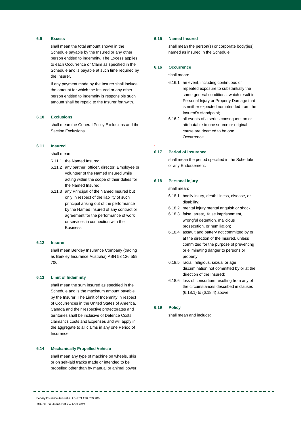# **6.9 Excess**

shall mean the total amount shown in the Schedule payable by the Insured or any other person entitled to indemnity. The Excess applies to each Occurrence or Claim as specified in the Schedule and is payable at such time required by the Insurer.

If any payment made by the Insurer shall include the amount for which the Insured or any other person entitled to indemnity is responsible such amount shall be repaid to the Insurer forthwith.

#### **6.10 Exclusions**

shall mean the General Policy Exclusions and the Section Exclusions.

#### **6.11 Insured**

shall mean:

- 6.11.1 the Named Insured;
- 6.11.2 any partner, officer, director, Employee or volunteer of the Named Insured while acting within the scope of their duties for the Named Insured;
- 6.11.3 any Principal of the Named Insured but only in respect of the liability of such principal arising out of the performance by the Named Insured of any contract or agreement for the performance of work or services in connection with the **Busingss**

#### **6.12 Insurer**

shall mean Berkley Insurance Company (trading as Berkley Insurance Australia) ABN 53 126 559 706.

#### **6.13 Limit of Indemnity**

shall mean the sum insured as specified in the Schedule and is the maximum amount payable by the Insurer. The Limit of Indemnity in respect of Occurrences in the United States of America, Canada and their respective protectorates and territories shall be inclusive of Defence Costs, claimant's costs and Expenses and will apply in the aggregate to all claims in any one Period of Insurance.

### **6.14 Mechanically Propelled Vehicle**

shall mean any type of machine on wheels, skis or on self-laid tracks made or intended to be propelled other than by manual or animal power.

### **6.15 Named Insured**

shall mean the person(s) or corporate body(ies) named as insured in the Schedule.

# **6.16 Occurrence**

shall mean:

- 6.16.1 an event, including continuous or repeated exposure to substantially the same general conditions, which result in Personal Injury or Property Damage that is neither expected nor intended from the Insured's standpoint;
- 6.16.2 all events of a series consequent on or attributable to one source or original cause are deemed to be one Occurrence.

# **6.17 Period of Insurance**

.

shall mean the period specified in the Schedule or any Endorsement.

#### **6.18 Personal Injury**

shall mean:

- 6.18.1 bodily injury, death illness, disease, or disability;
- 6.18.2 mental injury mental anguish or shock;
- 6.18.3 false arrest, false imprisonment, wrongful detention, malicious prosecution, or humiliation;
- 6.18.4 assault and battery not committed by or at the direction of the Insured, unless committed for the purpose of preventing or eliminating danger to persons or property;
- 6.18.5 racial, religious, sexual or age discrimination not committed by or at the direction of the Insured;
- 6.18.6 loss of consortium resulting from any of the circumstances described in clauses (6.18.1) to (6.18.4) above.

# **6.19 Policy**

shall mean and include: